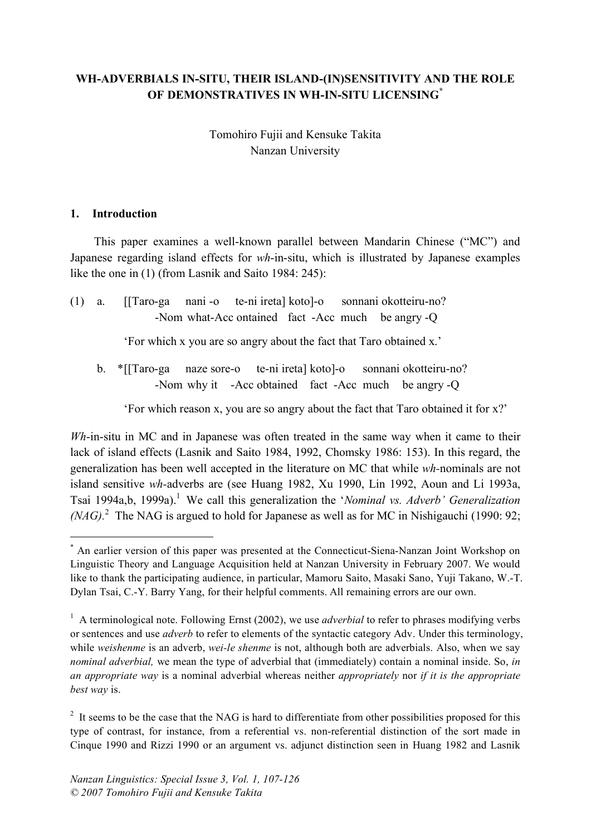# **WH-ADVERBIALS IN-SITU, THEIR ISLAND-(IN)SENSITIVITY AND THE ROLE OF DEMONSTRATIVES IN WH-IN-SITU LICENSING\***

# Tomohiro Fujii and Kensuke Takita Nanzan University

### **1. Introduction**

This paper examines a well-known parallel between Mandarin Chinese ("MC") and Japanese regarding island effects for *wh*-in-situ, which is illustrated by Japanese examples like the one in (1) (from Lasnik and Saito 1984: 245):

(1) a. [[Taro-ga nani -o te-ni ireta] koto]-o sonnani okotteiru-no? -Nom what-Acc ontained fact -Acc much be angry -Q

'For which x you are so angry about the fact that Taro obtained x.'

b. \*[[Taro-ga naze sore-o te-ni ireta] koto]-o sonnani okotteiru-no? -Nom why it -Acc obtained fact -Acc much be angry -Q

'For which reason x, you are so angry about the fact that Taro obtained it for x?'

*Wh*-in-situ in MC and in Japanese was often treated in the same way when it came to their lack of island effects (Lasnik and Saito 1984, 1992, Chomsky 1986: 153). In this regard, the generalization has been well accepted in the literature on MC that while *wh-*nominals are not island sensitive *wh-*adverbs are (see Huang 1982, Xu 1990, Lin 1992, Aoun and Li 1993a, Tsai 1994a,b, 1999a). <sup>1</sup> We call this generalization the '*Nominal vs. Adverb' Generalization*  $(NAG)$ <sup>2</sup>. The NAG is argued to hold for Japanese as well as for MC in Nishigauchi (1990: 92;

 <sup>\*</sup> An earlier version of this paper was presented at the Connecticut-Siena-Nanzan Joint Workshop on Linguistic Theory and Language Acquisition held at Nanzan University in February 2007. We would like to thank the participating audience, in particular, Mamoru Saito, Masaki Sano, Yuji Takano, W.-T. Dylan Tsai, C.-Y. Barry Yang, for their helpful comments. All remaining errors are our own.

<sup>&</sup>lt;sup>1</sup> A terminological note. Following Ernst (2002), we use *adverbial* to refer to phrases modifying verbs or sentences and use *adverb* to refer to elements of the syntactic category Adv. Under this terminology, while *weishenme* is an adverb, *wei-le shenme* is not, although both are adverbials. Also, when we say *nominal adverbial,* we mean the type of adverbial that (immediately) contain a nominal inside. So, *in an appropriate way* is a nominal adverbial whereas neither *appropriately* nor *if it is the appropriate best way* is.

 $2$  It seems to be the case that the NAG is hard to differentiate from other possibilities proposed for this type of contrast, for instance, from a referential vs. non-referential distinction of the sort made in Cinque 1990 and Rizzi 1990 or an argument vs. adjunct distinction seen in Huang 1982 and Lasnik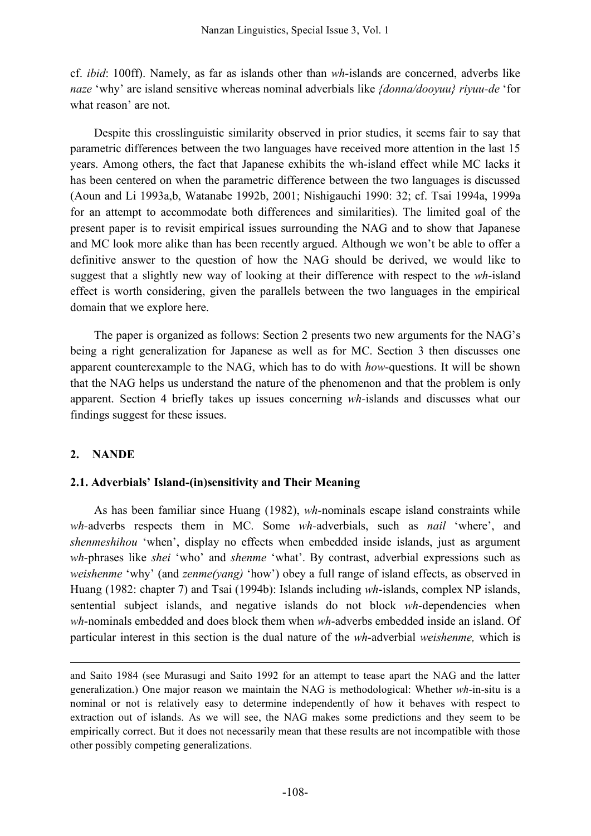cf. *ibid*: 100ff). Namely, as far as islands other than *wh-*islands are concerned, adverbs like *naze* 'why' are island sensitive whereas nominal adverbials like *{donna/dooyuu} riyuu-de* 'for what reason' are not.

Despite this crosslinguistic similarity observed in prior studies, it seems fair to say that parametric differences between the two languages have received more attention in the last 15 years. Among others, the fact that Japanese exhibits the wh-island effect while MC lacks it has been centered on when the parametric difference between the two languages is discussed (Aoun and Li 1993a,b, Watanabe 1992b, 2001; Nishigauchi 1990: 32; cf. Tsai 1994a, 1999a for an attempt to accommodate both differences and similarities). The limited goal of the present paper is to revisit empirical issues surrounding the NAG and to show that Japanese and MC look more alike than has been recently argued. Although we won't be able to offer a definitive answer to the question of how the NAG should be derived, we would like to suggest that a slightly new way of looking at their difference with respect to the *wh*-island effect is worth considering, given the parallels between the two languages in the empirical domain that we explore here.

The paper is organized as follows: Section 2 presents two new arguments for the NAG's being a right generalization for Japanese as well as for MC. Section 3 then discusses one apparent counterexample to the NAG, which has to do with *how*-questions. It will be shown that the NAG helps us understand the nature of the phenomenon and that the problem is only apparent. Section 4 briefly takes up issues concerning *wh-*islands and discusses what our findings suggest for these issues.

# **2. NANDE**

<u>.</u>

### **2.1. Adverbials' Island-(in)sensitivity and Their Meaning**

As has been familiar since Huang (1982), *wh-*nominals escape island constraints while *wh-*adverbs respects them in MC. Some *wh-*adverbials, such as *nail* 'where', and *shenmeshihou* 'when', display no effects when embedded inside islands, just as argument *wh-*phrases like *shei* 'who' and *shenme* 'what'. By contrast, adverbial expressions such as *weishenme* 'why' (and *zenme(yang)* 'how') obey a full range of island effects, as observed in Huang (1982: chapter 7) and Tsai (1994b): Islands including *wh*-islands, complex NP islands, sentential subject islands, and negative islands do not block *wh*-dependencies when *wh*-nominals embedded and does block them when *wh*-adverbs embedded inside an island. Of particular interest in this section is the dual nature of the *wh-*adverbial *weishenme,* which is

and Saito 1984 (see Murasugi and Saito 1992 for an attempt to tease apart the NAG and the latter generalization.) One major reason we maintain the NAG is methodological: Whether *wh*-in-situ is a nominal or not is relatively easy to determine independently of how it behaves with respect to extraction out of islands. As we will see, the NAG makes some predictions and they seem to be empirically correct. But it does not necessarily mean that these results are not incompatible with those other possibly competing generalizations.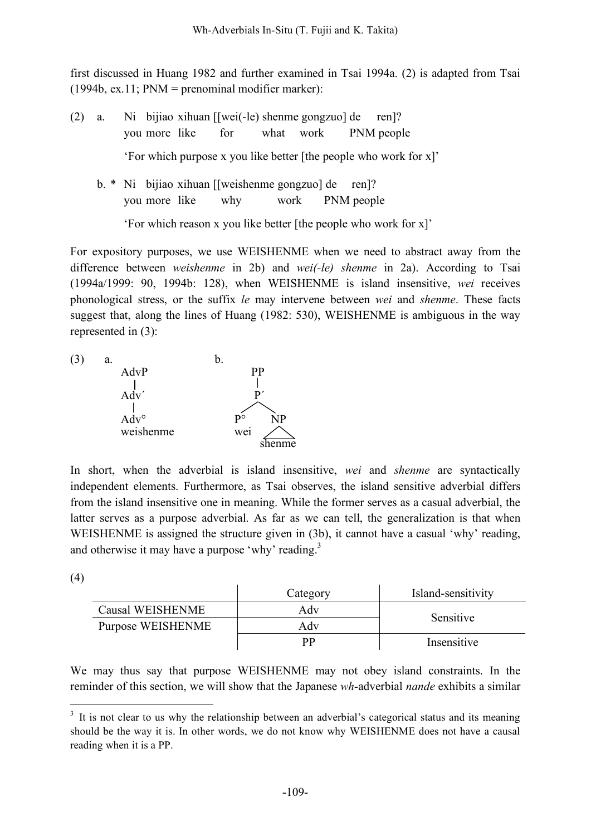first discussed in Huang 1982 and further examined in Tsai 1994a. (2) is adapted from Tsai  $(1994b, ex.11; PNM = prenominal modifier marker):$ 

(2) a. Ni bijiao xihuan [[wei(-le) shenme gongzuo] de ren]? you more like for what work PNM people 'For which purpose x you like better [the people who work for x]' b. \* Ni bijiao xihuan [[weishenme gongzuo] de ren]? you more like why work PNM people 'For which reason x you like better [the people who work for x]'

For expository purposes, we use WEISHENME when we need to abstract away from the difference between *weishenme* in 2b) and *wei(-le) shenme* in 2a). According to Tsai (1994a/1999: 90, 1994b: 128), when WEISHENME is island insensitive, *wei* receives phonological stress, or the suffix *le* may intervene between *wei* and *shenme*. These facts suggest that, along the lines of Huang (1982: 530), WEISHENME is ambiguous in the way represented in (3):



In short, when the adverbial is island insensitive, *wei* and *shenme* are syntactically independent elements. Furthermore, as Tsai observes, the island sensitive adverbial differs from the island insensitive one in meaning. While the former serves as a casual adverbial, the latter serves as a purpose adverbial. As far as we can tell, the generalization is that when WEISHENME is assigned the structure given in (3b), it cannot have a casual 'why' reading, and otherwise it may have a purpose 'why' reading.<sup>3</sup>

(4)

|                   | Category | Island-sensitivity |  |
|-------------------|----------|--------------------|--|
| Causal WEISHENME  | Adv      | Sensitive          |  |
| Purpose WEISHENME | Adv      |                    |  |
|                   | pр       | Insensitive        |  |

We may thus say that purpose WEISHENME may not obey island constraints. In the reminder of this section, we will show that the Japanese *wh-*adverbial *nande* exhibits a similar

 $3\,$  It is not clear to us why the relationship between an adverbial's categorical status and its meaning should be the way it is. In other words, we do not know why WEISHENME does not have a causal reading when it is a PP.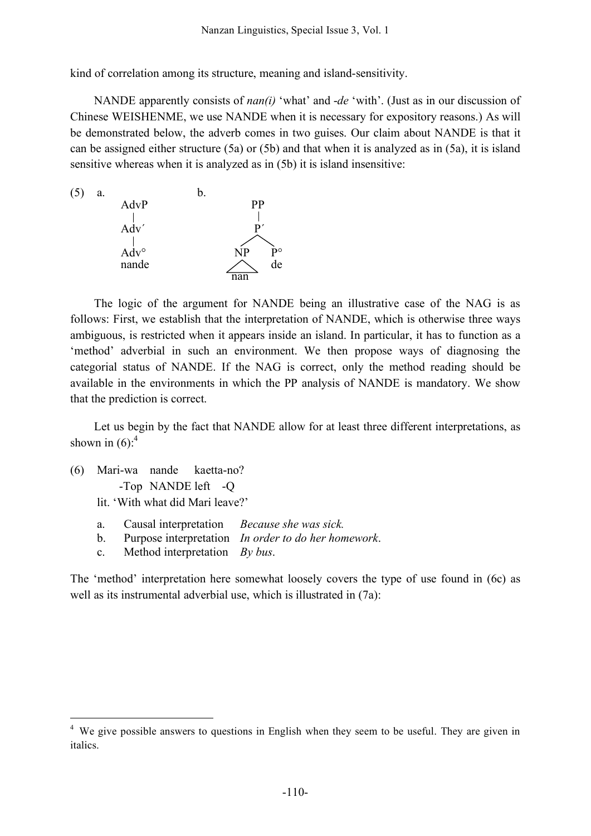kind of correlation among its structure, meaning and island-sensitivity.

NANDE apparently consists of *nan(i)* 'what' and -*de* 'with'. (Just as in our discussion of Chinese WEISHENME, we use NANDE when it is necessary for expository reasons.) As will be demonstrated below, the adverb comes in two guises. Our claim about NANDE is that it can be assigned either structure (5a) or (5b) and that when it is analyzed as in (5a), it is island sensitive whereas when it is analyzed as in (5b) it is island insensitive:



The logic of the argument for NANDE being an illustrative case of the NAG is as follows: First, we establish that the interpretation of NANDE, which is otherwise three ways ambiguous, is restricted when it appears inside an island. In particular, it has to function as a 'method' adverbial in such an environment. We then propose ways of diagnosing the categorial status of NANDE. If the NAG is correct, only the method reading should be available in the environments in which the PP analysis of NANDE is mandatory. We show that the prediction is correct.

Let us begin by the fact that NANDE allow for at least three different interpretations, as shown in  $(6)$ :<sup>4</sup>

- (6) Mari-wa nande kaetta-no? -Top NANDE left -Q lit. 'With what did Mari leave?'
	- a. Causal interpretation *Because she was sick.*
	- b. Purpose interpretation *In order to do her homework*.
	- c. Method interpretation *By bus*.

The 'method' interpretation here somewhat loosely covers the type of use found in (6c) as well as its instrumental adverbial use, which is illustrated in  $(7a)$ :

<sup>&</sup>lt;sup>4</sup> We give possible answers to questions in English when they seem to be useful. They are given in italics.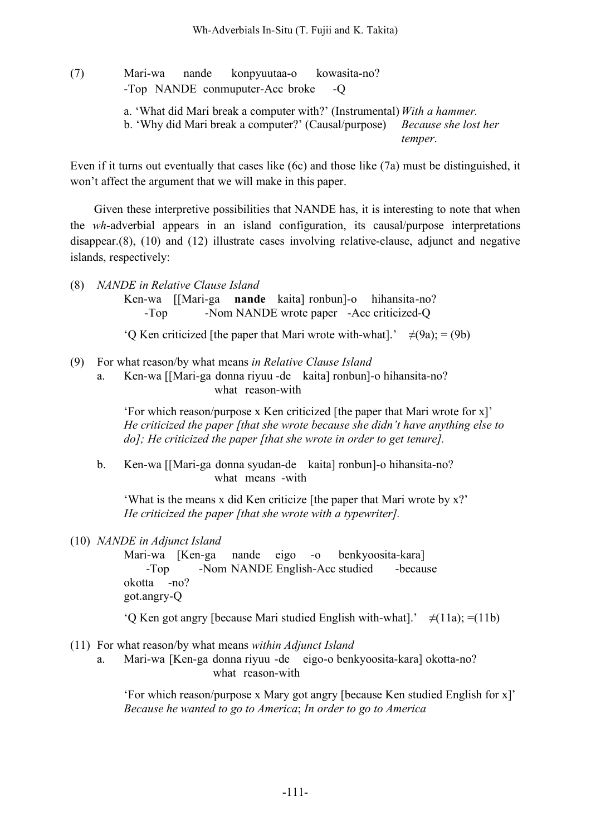(7) Mari-wa nande konpyuutaa-o kowasita-no? -Top NANDE conmuputer-Acc broke -Q a. 'What did Mari break a computer with?' (Instrumental) *With a hammer.* b. 'Why did Mari break a computer?' (Causal/purpose) *Because she lost her temper*.

Even if it turns out eventually that cases like (6c) and those like (7a) must be distinguished, it won't affect the argument that we will make in this paper.

Given these interpretive possibilities that NANDE has, it is interesting to note that when the *wh-*adverbial appears in an island configuration, its causal/purpose interpretations disappear.(8), (10) and (12) illustrate cases involving relative-clause, adjunct and negative islands, respectively:

(8) *NANDE in Relative Clause Island*

Ken-wa [[Mari-ga **nande** kaita] ronbun]-o hihansita-no? -Top -Nom NANDE wrote paper -Acc criticized-Q

'Q Ken criticized [the paper that Mari wrote with-what].'  $\neq (9a)$ ; = (9b)

- (9) For what reason/by what means *in Relative Clause Island*
	- a. Ken-wa [[Mari-ga donna riyuu -de kaita] ronbun]-o hihansita-no? what reason-with

'For which reason/purpose x Ken criticized [the paper that Mari wrote for x]' *He criticized the paper [that she wrote because she didn't have anything else to do]; He criticized the paper [that she wrote in order to get tenure].*

b. Ken-wa [[Mari-ga donna syudan-de kaita] ronbun]-o hihansita-no? what means -with

'What is the means x did Ken criticize [the paper that Mari wrote by x?' *He criticized the paper [that she wrote with a typewriter].*

#### (10) *NANDE in Adjunct Island*

Mari-wa [Ken-ga nande eigo -o benkyoosita-kara] -Top -Nom NANDE English-Acc studied -because okotta -no? got.angry-Q

'Q Ken got angry [because Mari studied English with-what].'  $\neq$ (11a); =(11b)

- (11) For what reason/by what means *within Adjunct Island*
	- a. Mari-wa [Ken-ga donna riyuu -de eigo-o benkyoosita-kara] okotta-no? what reason-with

'For which reason/purpose x Mary got angry [because Ken studied English for x]' *Because he wanted to go to America*; *In order to go to America*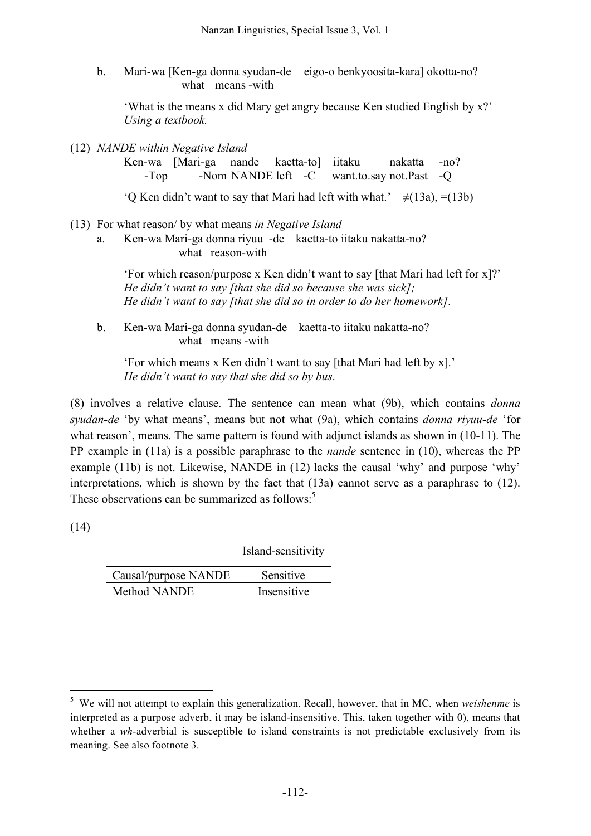b. Mari-wa [Ken-ga donna syudan-de eigo-o benkyoosita-kara] okotta-no? what means -with

'What is the means x did Mary get angry because Ken studied English by x?' *Using a textbook.*

(12) *NANDE within Negative Island*

Ken-wa [Mari-ga nande kaetta-to] iitaku nakatta -no? -Top -Nom NANDE left -C want.to.say not.Past -Q

'Q Ken didn't want to say that Mari had left with what.'  $\neq$ (13a), =(13b)

(13) For what reason/ by what means *in Negative Island*

a. Ken-wa Mari-ga donna riyuu -de kaetta-to iitaku nakatta-no? what reason-with

> 'For which reason/purpose x Ken didn't want to say [that Mari had left for x]?' *He didn't want to say [that she did so because she was sick]; He didn't want to say [that she did so in order to do her homework]*.

b. Ken-wa Mari-ga donna syudan-de kaetta-to iitaku nakatta-no? what means -with

'For which means x Ken didn't want to say [that Mari had left by x].' *He didn't want to say that she did so by bus*.

(8) involves a relative clause. The sentence can mean what (9b), which contains *donna syudan-de* 'by what means', means but not what (9a), which contains *donna riyuu-de* 'for what reason', means. The same pattern is found with adjunct islands as shown in (10-11). The PP example in (11a) is a possible paraphrase to the *nande* sentence in (10), whereas the PP example (11b) is not. Likewise, NANDE in (12) lacks the causal 'why' and purpose 'why' interpretations, which is shown by the fact that (13a) cannot serve as a paraphrase to (12). These observations can be summarized as follows:<sup>5</sup>

(14)

|                      | Island-sensitivity |
|----------------------|--------------------|
| Causal/purpose NANDE | Sensitive          |
| Method NANDE         | Insensitive        |

 $\overline{1}$ 

 <sup>5</sup> We will not attempt to explain this generalization. Recall, however, that in MC, when *weishenme* is interpreted as a purpose adverb, it may be island-insensitive. This, taken together with 0), means that whether a *wh*-adverbial is susceptible to island constraints is not predictable exclusively from its meaning. See also footnote 3.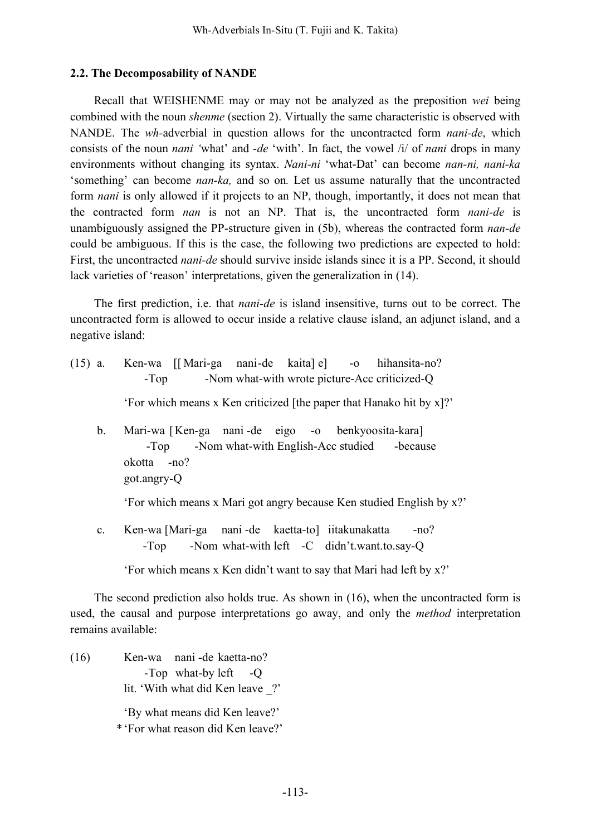### **2.2. The Decomposability of NANDE**

Recall that WEISHENME may or may not be analyzed as the preposition *wei* being combined with the noun *shenme* (section 2). Virtually the same characteristic is observed with NANDE. The *wh-*adverbial in question allows for the uncontracted form *nani-de*, which consists of the noun *nani '*what' and *-de* 'with'. In fact, the vowel /i/ of *nani* drops in many environments without changing its syntax. *Nani-ni* 'what-Dat' can become *nan-ni, nani-ka* 'something' can become *nan-ka,* and so on*.* Let us assume naturally that the uncontracted form *nani* is only allowed if it projects to an NP, though, importantly, it does not mean that the contracted form *nan* is not an NP. That is, the uncontracted form *nani-de* is unambiguously assigned the PP-structure given in (5b), whereas the contracted form *nan-de* could be ambiguous. If this is the case, the following two predictions are expected to hold: First, the uncontracted *nani-de* should survive inside islands since it is a PP. Second, it should lack varieties of 'reason' interpretations, given the generalization in (14).

The first prediction, i.e. that *nani-de* is island insensitive, turns out to be correct. The uncontracted form is allowed to occur inside a relative clause island, an adjunct island, and a negative island:

- (15) a. Ken-wa [[ Mari-ga nani-de kaita] e] -o hihansita-no? -Top -Nom what-with wrote picture-Acc criticized-Q 'For which means x Ken criticized [the paper that Hanako hit by x]?'
	- b. Mari-wa [Ken-ga nani -de eigo -o benkyoosita-kara] -Top -Nom what-with English-Acc studied -because okotta -no? got.angry-Q

'For which means x Mari got angry because Ken studied English by x?'

c. Ken-wa [Mari-ga nani -de kaetta-to] iitakunakatta -no? -Top -Nom what-with left -C didn't.want.to.say-Q

'For which means x Ken didn't want to say that Mari had left by x?'

The second prediction also holds true. As shown in (16), when the uncontracted form is used, the causal and purpose interpretations go away, and only the *method* interpretation remains available:

(16) Ken-wa nani -de kaetta-no? -Top what-by left -Q lit. 'With what did Ken leave ?'

'By what means did Ken leave?' \*'For what reason did Ken leave?'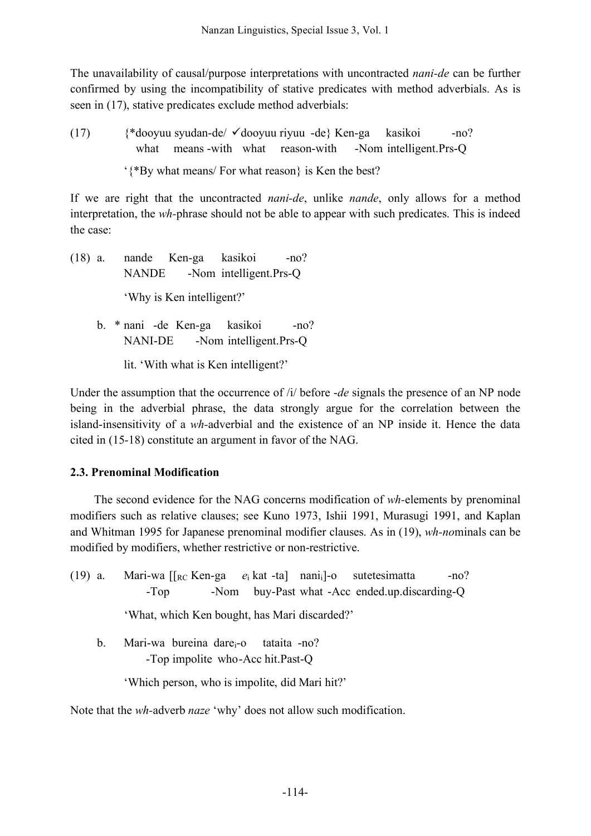The unavailability of causal/purpose interpretations with uncontracted *nani-de* can be further confirmed by using the incompatibility of stative predicates with method adverbials. As is seen in (17), stative predicates exclude method adverbials:

(17)  $\{\ast\text{dooyuu syudan-de}/\checkmark\text{dooyuu riyuu -de}\}$  Ken-ga kasikoi -no? what means -with what reason-with -Nom intelligent.Prs-Q '{\*By what means/ For what reason} is Ken the best?

If we are right that the uncontracted *nani-de*, unlike *nande*, only allows for a method interpretation, the *wh-*phrase should not be able to appear with such predicates. This is indeed the case:

- (18) a. nande Ken-ga kasikoi -no? NANDE -Nom intelligent.Prs-Q 'Why is Ken intelligent?'
	- b. \* nani -de Ken-ga kasikoi -no? NANI-DE -Nom intelligent.Prs-Q

lit. 'With what is Ken intelligent?'

Under the assumption that the occurrence of /i/ before -*de* signals the presence of an NP node being in the adverbial phrase, the data strongly argue for the correlation between the island-insensitivity of a *wh-*adverbial and the existence of an NP inside it. Hence the data cited in (15-18) constitute an argument in favor of the NAG.

# **2.3. Prenominal Modification**

The second evidence for the NAG concerns modification of *wh-*elements by prenominal modifiers such as relative clauses; see Kuno 1973, Ishii 1991, Murasugi 1991, and Kaplan and Whitman 1995 for Japanese prenominal modifier clauses. As in (19), *wh-no*minals can be modified by modifiers, whether restrictive or non-restrictive.

- (19) a. Mari-wa [[RC Ken-ga *e*<sup>i</sup> kat -ta] nanii]-o sutetesimatta -no? -Top -Nom buy-Past what -Acc ended.up.discarding-Q 'What, which Ken bought, has Mari discarded?'
	- b. Mari-wa bureina dare<sub>i</sub>-o tataita -no? -Top impolite who-Acc hit.Past-Q

'Which person, who is impolite, did Mari hit?'

Note that the *wh-*adverb *naze* 'why' does not allow such modification.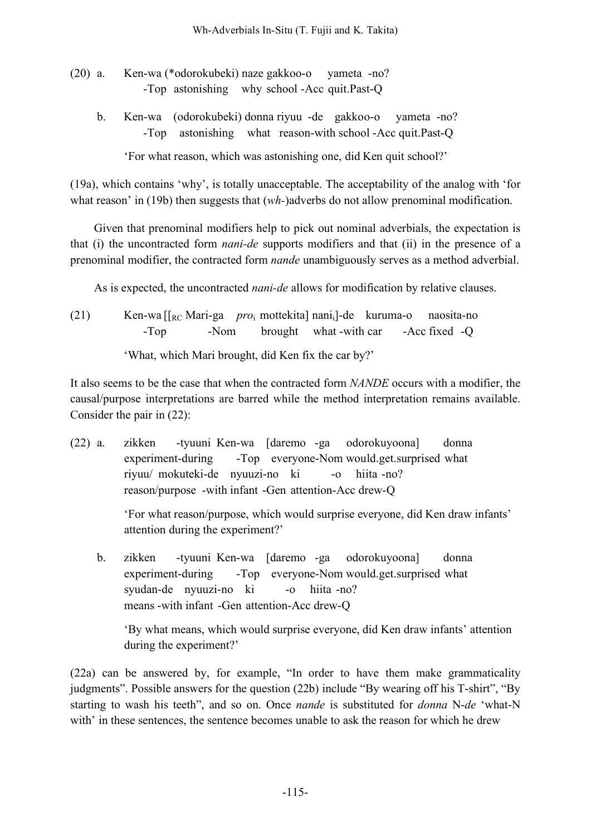- (20) a. Ken-wa (\*odorokubeki) naze gakkoo-o yameta -no? -Top astonishing why school -Acc quit.Past-Q
	- b. Ken-wa (odorokubeki) donna riyuu -de gakkoo-o yameta -no? -Top astonishing what reason-with school -Acc quit.Past-Q

'For what reason, which was astonishing one, did Ken quit school?'

(19a), which contains 'why', is totally unacceptable. The acceptability of the analog with 'for what reason' in (19b) then suggests that  $(wh)$  adverbs do not allow prenominal modification.

Given that prenominal modifiers help to pick out nominal adverbials, the expectation is that (i) the uncontracted form *nani-de* supports modifiers and that (ii) in the presence of a prenominal modifier, the contracted form *nande* unambiguously serves as a method adverbial.

As is expected, the uncontracted *nani-de* allows for modification by relative clauses.

(21) Ken-wa [[RC Mari-ga *pro*<sup>i</sup> mottekita] nanii]-de kuruma-o naosita-no -Top -Nom brought what -with car -Acc fixed -Q 'What, which Mari brought, did Ken fix the car by?'

It also seems to be the case that when the contracted form *NANDE* occurs with a modifier, the causal/purpose interpretations are barred while the method interpretation remains available.

Consider the pair in (22):

(22) a. zikken -tyuuni Ken-wa [daremo -ga odorokuyoona] donna experiment-during -Top everyone-Nom would.get.surprised what riyuu/ mokuteki-de nyuuzi-no ki -o hiita -no? reason/purpose -with infant -Gen attention-Acc drew-Q

> 'For what reason/purpose, which would surprise everyone, did Ken draw infants' attention during the experiment?'

b. zikken -tyuuni Ken-wa [daremo -ga odorokuyoona] donna experiment-during -Top everyone-Nom would.get.surprised what syudan-de nyuuzi-no ki -o hiita -no? means -with infant -Gen attention-Acc drew-Q

'By what means, which would surprise everyone, did Ken draw infants' attention during the experiment?'

(22a) can be answered by, for example, "In order to have them make grammaticality judgments". Possible answers for the question (22b) include "By wearing off his T-shirt", "By starting to wash his teeth", and so on. Once *nande* is substituted for *donna* N-*de* 'what-N with' in these sentences, the sentence becomes unable to ask the reason for which he drew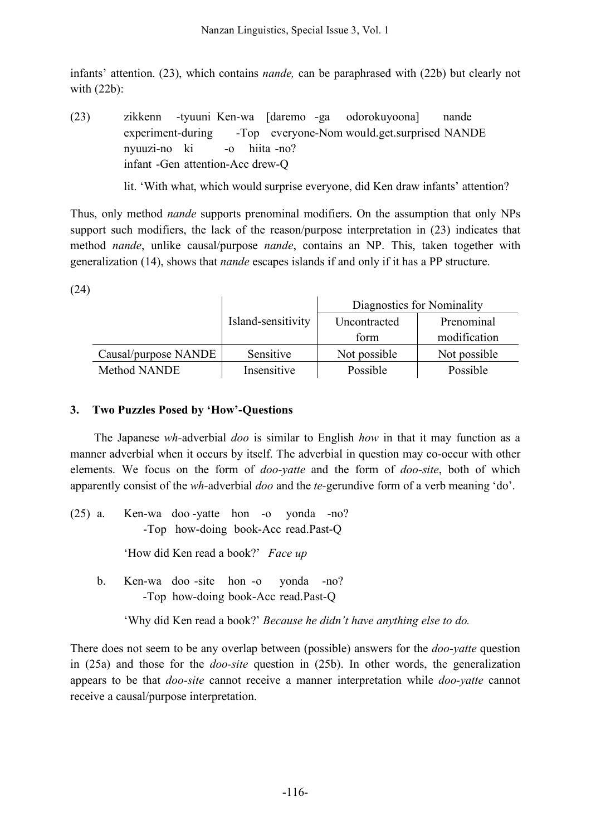infants' attention. (23), which contains *nande,* can be paraphrased with (22b) but clearly not with (22b):

(23) zikkenn -tyuuni Ken-wa [daremo -ga odorokuyoona] nande experiment-during -Top everyone-Nom would.get.surprised NANDE nyuuzi-no ki -o hiita -no? infant -Gen attention-Acc drew-Q

lit. 'With what, which would surprise everyone, did Ken draw infants' attention?

Thus, only method *nande* supports prenominal modifiers. On the assumption that only NPs support such modifiers, the lack of the reason/purpose interpretation in  $(23)$  indicates that method *nande*, unlike causal/purpose *nande*, contains an NP. This, taken together with generalization (14), shows that *nande* escapes islands if and only if it has a PP structure.

(24)

|                      |                    | Diagnostics for Nominality |              |
|----------------------|--------------------|----------------------------|--------------|
|                      | Island-sensitivity | Uncontracted               | Prenominal   |
|                      |                    | form                       | modification |
| Causal/purpose NANDE | Sensitive          | Not possible               | Not possible |
| <b>Method NANDE</b>  | Insensitive        | Possible                   | Possible     |

## **3. Two Puzzles Posed by 'How'-Questions**

The Japanese *wh-*adverbial *doo* is similar to English *how* in that it may function as a manner adverbial when it occurs by itself. The adverbial in question may co-occur with other elements. We focus on the form of *doo-yatte* and the form of *doo-site*, both of which apparently consist of the *wh-*adverbial *doo* and the *te-*gerundive form of a verb meaning 'do'.

(25) a. Ken-wa doo -yatte hon -o yonda -no? -Top how-doing book-Acc read.Past-Q

'How did Ken read a book?' *Face up*

b. Ken-wa doo -site hon -o yonda -no? -Top how-doing book-Acc read.Past-Q

'Why did Ken read a book?' *Because he didn't have anything else to do.*

There does not seem to be any overlap between (possible) answers for the *doo-yatte* question in (25a) and those for the *doo-site* question in (25b). In other words, the generalization appears to be that *doo-site* cannot receive a manner interpretation while *doo-yatte* cannot receive a causal/purpose interpretation.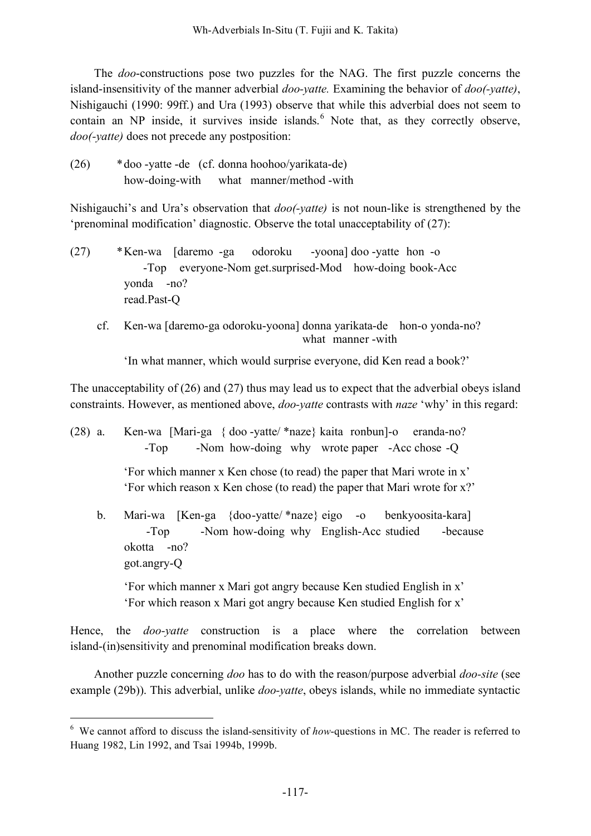The *doo*-constructions pose two puzzles for the NAG. The first puzzle concerns the island-insensitivity of the manner adverbial *doo-yatte.* Examining the behavior of *doo(-yatte)*, Nishigauchi (1990: 99ff.) and Ura (1993) observe that while this adverbial does not seem to contain an NP inside, it survives inside islands. <sup>6</sup> Note that, as they correctly observe, *doo(-yatte)* does not precede any postposition:

(26) \*doo -yatte -de (cf. donna hoohoo/yarikata-de) how-doing-with what manner/method -with

Nishigauchi's and Ura's observation that *doo(-yatte)* is not noun-like is strengthened by the 'prenominal modification' diagnostic. Observe the total unacceptability of (27):

- (27) \*Ken-wa [daremo -ga odoroku -yoona] doo -yatte hon -o -Top everyone-Nom get.surprised-Mod how-doing book-Acc yonda -no? read.Past-Q
	- cf. Ken-wa [daremo-ga odoroku-yoona] donna yarikata-de hon-o yonda-no? what manner -with

'In what manner, which would surprise everyone, did Ken read a book?'

The unacceptability of (26) and (27) thus may lead us to expect that the adverbial obeys island constraints. However, as mentioned above, *doo-yatte* contrasts with *naze* 'why' in this regard:

| $(28)$ a. | Ken-wa [Mari-ga { doo -yatte/ *naze} kaita ronbun]-o eranda-no?<br>-Nom how-doing why wrote paper -Acc chose -Q<br>$-Top$                                 |
|-----------|-----------------------------------------------------------------------------------------------------------------------------------------------------------|
|           | 'For which manner x Ken chose (to read) the paper that Mari wrote in x'<br>'For which reason x Ken chose (to read) the paper that Mari wrote for x?'      |
| $b_{-}$   | Mari-wa [Ken-ga {doo-yatte/*naze} eigo -o benkyoosita-kara]<br>-Nom how-doing why English-Acc studied<br>$-Top$<br>-because<br>okotta -no?<br>got.angry-Q |
|           | 'For which manner x Mari got angry because Ken studied English in x'<br>'For which reason x Mari got angry because Ken studied English for x'             |
|           | Hence, the <i>doo-yatte</i> construction is a place where the correlation<br>between<br>island-(in) sensitivity and prenominal modification breaks down.  |

Another puzzle concerning *doo* has to do with the reason/purpose adverbial *doo-site* (see example (29b)). This adverbial, unlike *doo-yatte*, obeys islands, while no immediate syntactic

 <sup>6</sup> We cannot afford to discuss the island-sensitivity of *how*-questions in MC. The reader is referred to Huang 1982, Lin 1992, and Tsai 1994b, 1999b.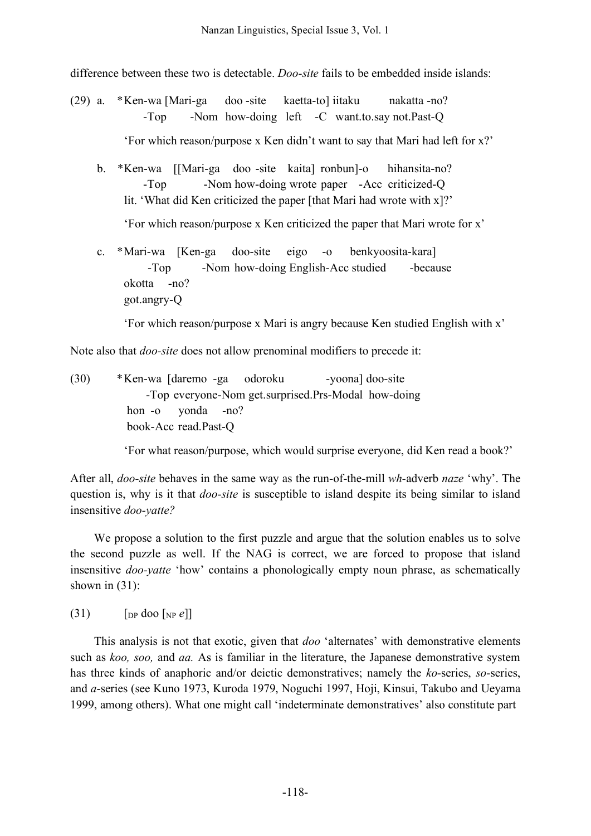difference between these two is detectable. *Doo-site* fails to be embedded inside islands:

(29) a. \*Ken-wa [Mari-ga doo -site kaetta-to] iitaku nakatta -no? -Top -Nom how-doing left -C want.to.say not.Past-Q

'For which reason/purpose x Ken didn't want to say that Mari had left for x?'

b. \*Ken-wa [[Mari-ga doo -site kaita] ronbun]-o hihansita-no? -Top -Nom how-doing wrote paper -Acc criticized-Q lit. 'What did Ken criticized the paper [that Mari had wrote with x]?'

'For which reason/purpose x Ken criticized the paper that Mari wrote for x'

c. \*Mari-wa [Ken-ga doo-site eigo -o benkyoosita-kara] -Top -Nom how-doing English-Acc studied -because okotta -no? got.angry-Q

'For which reason/purpose x Mari is angry because Ken studied English with x'

Note also that *doo-site* does not allow prenominal modifiers to precede it:

(30) \*Ken-wa [daremo -ga odoroku -yoona] doo-site -Top everyone-Nom get.surprised.Prs-Modal how-doing hon -o yonda -no? book-Acc read.Past-Q

'For what reason/purpose, which would surprise everyone, did Ken read a book?'

After all, *doo-site* behaves in the same way as the run-of-the-mill *wh-*adverb *naze* 'why'. The question is, why is it that *doo-site* is susceptible to island despite its being similar to island insensitive *doo-yatte?* 

We propose a solution to the first puzzle and argue that the solution enables us to solve the second puzzle as well. If the NAG is correct, we are forced to propose that island insensitive *doo-yatte* 'how' contains a phonologically empty noun phrase, as schematically shown in  $(31)$ :

 $(31)$  [DP doo [NP  $e$ ]]

This analysis is not that exotic, given that *doo* 'alternates' with demonstrative elements such as *koo, soo,* and *aa.* As is familiar in the literature, the Japanese demonstrative system has three kinds of anaphoric and/or deictic demonstratives; namely the *ko*-series, *so*-series, and *a*-series (see Kuno 1973, Kuroda 1979, Noguchi 1997, Hoji, Kinsui, Takubo and Ueyama 1999, among others). What one might call 'indeterminate demonstratives' also constitute part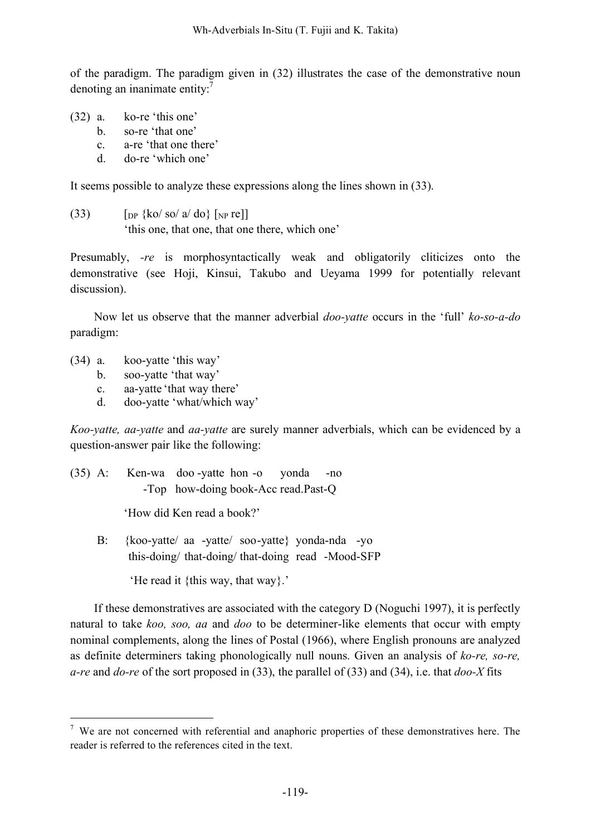of the paradigm. The paradigm given in (32) illustrates the case of the demonstrative noun denoting an inanimate entity:<sup>7</sup>

- (32) a. ko-re 'this one'
	- b. so-re 'that one'
	- c. a-re 'that one there'
	- d. do-re 'which one'

It seems possible to analyze these expressions along the lines shown in (33).

(33)  $\left[\int_{\text{DP}} \{\text{ko}/\text{so}/\text{a}/\text{do}\}\right] \left[\int_{\text{NP}} \text{re}\right]$ 'this one, that one, that one there, which one'

Presumably, *-re* is morphosyntactically weak and obligatorily cliticizes onto the demonstrative (see Hoji, Kinsui, Takubo and Ueyama 1999 for potentially relevant discussion).

Now let us observe that the manner adverbial *doo-yatte* occurs in the 'full' *ko-so-a-do* paradigm:

- (34) a. koo-yatte 'this way'
	- b. soo-yatte 'that way'
	- c. aa-yatte 'that way there'
	- d. doo-yatte 'what/which way'

*Koo-yatte, aa-yatte* and *aa-yatte* are surely manner adverbials, which can be evidenced by a question-answer pair like the following:

(35) A: Ken-wa doo -yatte hon -o yonda -no -Top how-doing book-Acc read.Past-Q

'How did Ken read a book?'

B: {koo-yatte/ aa -yatte/ soo-yatte} yonda-nda -yo this-doing/ that-doing/ that-doing read -Mood-SFP

'He read it {this way, that way}.'

If these demonstratives are associated with the category D (Noguchi 1997), it is perfectly natural to take *koo, soo, aa* and *doo* to be determiner-like elements that occur with empty nominal complements, along the lines of Postal (1966), where English pronouns are analyzed as definite determiners taking phonologically null nouns. Given an analysis of *ko-re, so-re, a-re* and *do-re* of the sort proposed in (33), the parallel of (33) and (34), i.e. that *doo-X* fits

 $7$  We are not concerned with referential and anaphoric properties of these demonstratives here. The reader is referred to the references cited in the text.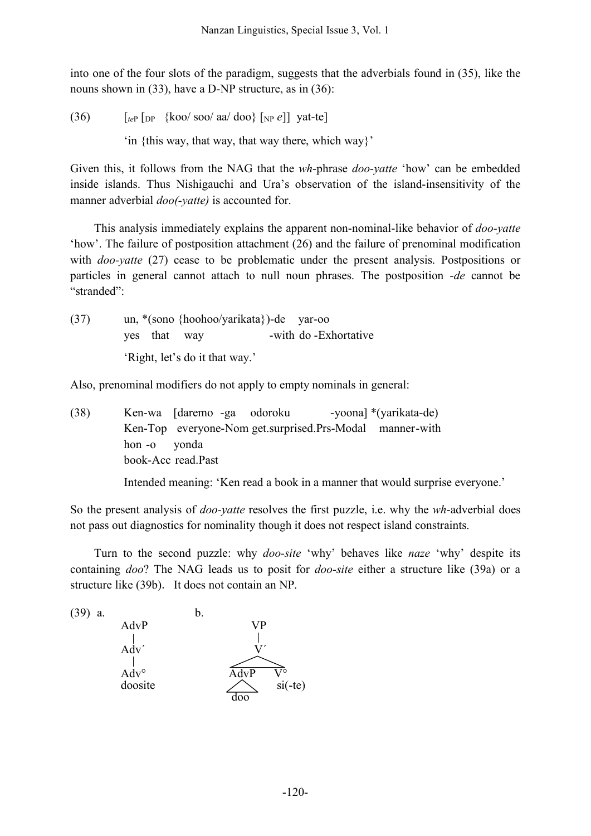into one of the four slots of the paradigm, suggests that the adverbials found in (35), like the nouns shown in (33), have a D-NP structure, as in (36):

(36)  $\left[\begin{array}{cc} \n\sqrt{26} & \sqrt{26} \\
\sqrt{26} & \sqrt{26} \\
\sqrt{26} & \sqrt{26} \\
\sqrt{26} & \sqrt{26} \\
\sqrt{26} & \sqrt{26} \\
\sqrt{26} & \sqrt{26} \\
\sqrt{26} & \sqrt{26} \\
\sqrt{26} & \sqrt{26} \\
\sqrt{26} & \sqrt{26} \\
\sqrt{26} & \sqrt{26} \\
\sqrt{26} & \sqrt{26} \\
\sqrt{26} & \sqrt{26} \\
\sqrt{26} & \sqrt{26} \\
\sqrt{26} & \sqrt{26} \\
\sqrt{26} & \$ 'in {this way, that way, that way there, which way}'

Given this, it follows from the NAG that the *wh-*phrase *doo-yatte* 'how' can be embedded inside islands. Thus Nishigauchi and Ura's observation of the island-insensitivity of the manner adverbial *doo(-yatte)* is accounted for.

This analysis immediately explains the apparent non-nominal-like behavior of *doo-yatte* 'how'. The failure of postposition attachment (26) and the failure of prenominal modification with *doo-yatte* (27) cease to be problematic under the present analysis. Postpositions or particles in general cannot attach to null noun phrases. The postposition *-de* cannot be "stranded":

(37) un, \*(sono {hoohoo/yarikata})-de yar-oo yes that way -with do -Exhortative 'Right, let's do it that way.'

Also, prenominal modifiers do not apply to empty nominals in general:

(38) Ken-wa [daremo -ga odoroku -yoona] \*(yarikata-de) Ken-Top everyone-Nom get.surprised.Prs-Modal manner-with hon -o yonda book-Acc read.Past

Intended meaning: 'Ken read a book in a manner that would surprise everyone.'

So the present analysis of *doo-yatte* resolves the first puzzle, i.e. why the *wh*-adverbial does not pass out diagnostics for nominality though it does not respect island constraints.

Turn to the second puzzle: why *doo-site* 'why' behaves like *naze* 'why' despite its containing *doo*? The NAG leads us to posit for *doo-site* either a structure like (39a) or a structure like (39b). It does not contain an NP.

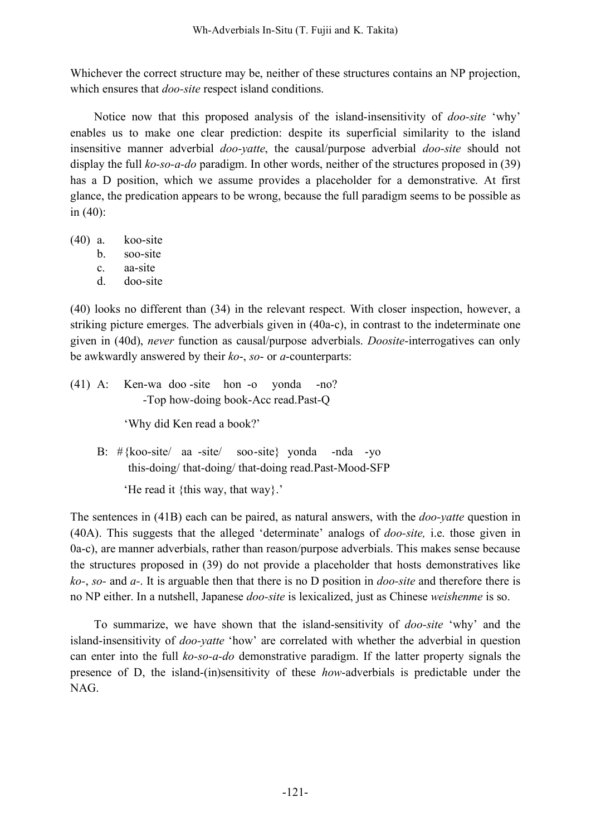Whichever the correct structure may be, neither of these structures contains an NP projection, which ensures that *doo-site* respect island conditions.

Notice now that this proposed analysis of the island-insensitivity of *doo-site* 'why' enables us to make one clear prediction: despite its superficial similarity to the island insensitive manner adverbial *doo-yatte*, the causal/purpose adverbial *doo-site* should not display the full *ko-so-a-do* paradigm. In other words, neither of the structures proposed in (39) has a D position, which we assume provides a placeholder for a demonstrative. At first glance, the predication appears to be wrong, because the full paradigm seems to be possible as in (40):

- (40) a. koo-site
	- b. soo-site
	- c. aa-site
	- d. doo-site

(40) looks no different than (34) in the relevant respect. With closer inspection, however, a striking picture emerges. The adverbials given in (40a-c), in contrast to the indeterminate one given in (40d), *never* function as causal/purpose adverbials. *Doosite*-interrogatives can only be awkwardly answered by their *ko*-, *so*- or *a*-counterparts:

(41) A: Ken-wa doo -site hon -o yonda -no? -Top how-doing book-Acc read.Past-Q

'Why did Ken read a book?'

B:  $\#$ {koo-site/ aa -site/ soo-site} yonda -nda -yo this-doing/ that-doing/ that-doing read.Past-Mood-SFP

'He read it {this way, that way}.'

The sentences in (41B) each can be paired, as natural answers, with the *doo-yatte* question in (40A). This suggests that the alleged 'determinate' analogs of *doo-site,* i.e. those given in 0a-c), are manner adverbials, rather than reason/purpose adverbials. This makes sense because the structures proposed in (39) do not provide a placeholder that hosts demonstratives like *ko-*, *so-* and *a-*. It is arguable then that there is no D position in *doo-site* and therefore there is no NP either. In a nutshell, Japanese *doo-site* is lexicalized, just as Chinese *weishenme* is so.

To summarize, we have shown that the island-sensitivity of *doo-site* 'why' and the island-insensitivity of *doo-yatte* 'how' are correlated with whether the adverbial in question can enter into the full *ko-so-a-do* demonstrative paradigm. If the latter property signals the presence of D, the island-(in)sensitivity of these *how*-adverbials is predictable under the NAG.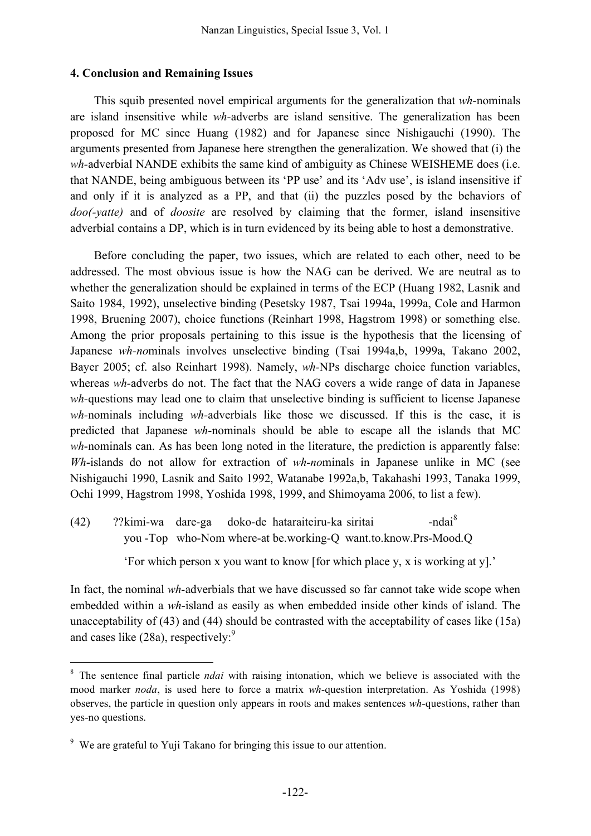### **4. Conclusion and Remaining Issues**

This squib presented novel empirical arguments for the generalization that *wh-*nominals are island insensitive while *wh-*adverbs are island sensitive. The generalization has been proposed for MC since Huang (1982) and for Japanese since Nishigauchi (1990). The arguments presented from Japanese here strengthen the generalization. We showed that (i) the *wh-*adverbial NANDE exhibits the same kind of ambiguity as Chinese WEISHEME does (i.e. that NANDE, being ambiguous between its 'PP use' and its 'Adv use', is island insensitive if and only if it is analyzed as a PP, and that (ii) the puzzles posed by the behaviors of *doo(-yatte)* and of *doosite* are resolved by claiming that the former, island insensitive adverbial contains a DP, which is in turn evidenced by its being able to host a demonstrative.

Before concluding the paper, two issues, which are related to each other, need to be addressed. The most obvious issue is how the NAG can be derived. We are neutral as to whether the generalization should be explained in terms of the ECP (Huang 1982, Lasnik and Saito 1984, 1992), unselective binding (Pesetsky 1987, Tsai 1994a, 1999a, Cole and Harmon 1998, Bruening 2007), choice functions (Reinhart 1998, Hagstrom 1998) or something else. Among the prior proposals pertaining to this issue is the hypothesis that the licensing of Japanese *wh-no*minals involves unselective binding (Tsai 1994a,b, 1999a, Takano 2002, Bayer 2005; cf. also Reinhart 1998). Namely, *wh-*NPs discharge choice function variables, whereas *wh-*adverbs do not. The fact that the NAG covers a wide range of data in Japanese *wh-*questions may lead one to claim that unselective binding is sufficient to license Japanese *wh-*nominals including *wh-*adverbials like those we discussed. If this is the case, it is predicted that Japanese *wh*-nominals should be able to escape all the islands that MC *wh*-nominals can. As has been long noted in the literature, the prediction is apparently false: *Wh*-islands do not allow for extraction of *wh-no*minals in Japanese unlike in MC (see Nishigauchi 1990, Lasnik and Saito 1992, Watanabe 1992a,b, Takahashi 1993, Tanaka 1999, Ochi 1999, Hagstrom 1998, Yoshida 1998, 1999, and Shimoyama 2006, to list a few).

 $(42)$  ??kimi-wa dare-ga doko-de hataraiteiru-ka siritai -ndai<sup>8</sup> you -Top who-Nom where-at be.working-Q want.to.know.Prs-Mood.Q

'For which person x you want to know [for which place y, x is working at y].'

In fact, the nominal *wh-*adverbials that we have discussed so far cannot take wide scope when embedded within a *wh-*island as easily as when embedded inside other kinds of island. The unacceptability of (43) and (44) should be contrasted with the acceptability of cases like (15a) and cases like (28a), respectively.<sup>9</sup>

 <sup>8</sup> The sentence final particle *ndai* with raising intonation, which we believe is associated with the mood marker *noda*, is used here to force a matrix *wh*-question interpretation. As Yoshida (1998) observes, the particle in question only appears in roots and makes sentences *wh*-questions, rather than yes-no questions.

<sup>&</sup>lt;sup>9</sup> We are grateful to Yuji Takano for bringing this issue to our attention.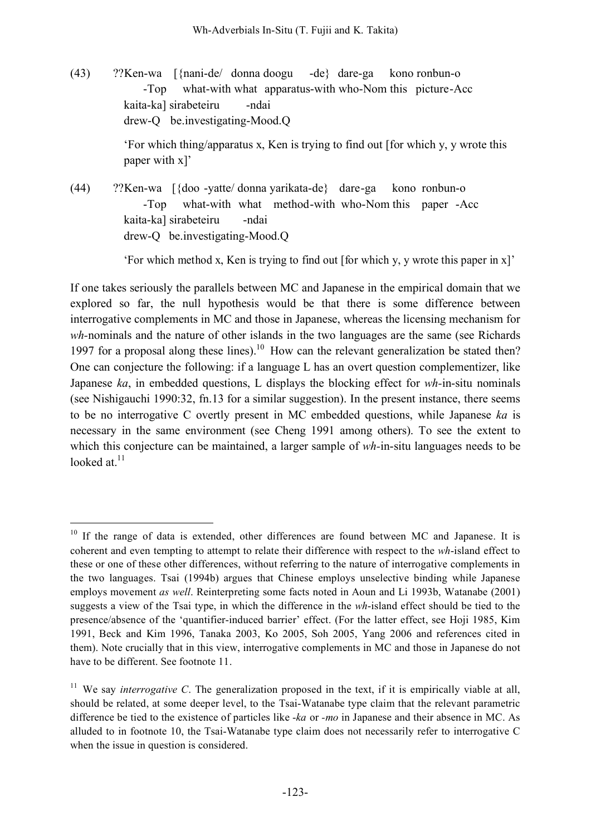(43) ??Ken-wa [{nani-de/ donna doogu -de} dare-ga kono ronbun-o -Top what-with what apparatus-with who-Nom this picture-Acc kaita-ka] sirabeteiru -ndai drew-Q be.investigating-Mood.Q

> 'For which thing/apparatus x, Ken is trying to find out [for which y, y wrote this paper with x]'

(44) ??Ken-wa [{doo -yatte/ donna yarikata-de} dare-ga kono ronbun-o -Top what-with what method-with who-Nom this paper -Acc kaita-ka] sirabeteiru -ndai drew-Q be.investigating-Mood.Q

'For which method x, Ken is trying to find out [for which y, y wrote this paper in x]'

If one takes seriously the parallels between MC and Japanese in the empirical domain that we explored so far, the null hypothesis would be that there is some difference between interrogative complements in MC and those in Japanese, whereas the licensing mechanism for *wh-*nominals and the nature of other islands in the two languages are the same (see Richards 1997 for a proposal along these lines).<sup>10</sup> How can the relevant generalization be stated then? One can conjecture the following: if a language L has an overt question complementizer, like Japanese *ka*, in embedded questions, L displays the blocking effect for *wh-*in-situ nominals (see Nishigauchi 1990:32, fn.13 for a similar suggestion). In the present instance, there seems to be no interrogative C overtly present in MC embedded questions, while Japanese *ka* is necessary in the same environment (see Cheng 1991 among others). To see the extent to which this conjecture can be maintained, a larger sample of *wh-*in-situ languages needs to be looked at.<sup>11</sup>

 $10$  If the range of data is extended, other differences are found between MC and Japanese. It is coherent and even tempting to attempt to relate their difference with respect to the *wh*-island effect to these or one of these other differences, without referring to the nature of interrogative complements in the two languages. Tsai (1994b) argues that Chinese employs unselective binding while Japanese employs movement *as well*. Reinterpreting some facts noted in Aoun and Li 1993b, Watanabe (2001) suggests a view of the Tsai type, in which the difference in the *wh*-island effect should be tied to the presence/absence of the 'quantifier-induced barrier' effect. (For the latter effect, see Hoji 1985, Kim 1991, Beck and Kim 1996, Tanaka 2003, Ko 2005, Soh 2005, Yang 2006 and references cited in them). Note crucially that in this view, interrogative complements in MC and those in Japanese do not have to be different. See footnote 11.

<sup>&</sup>lt;sup>11</sup> We say *interrogative C*. The generalization proposed in the text, if it is empirically viable at all, should be related, at some deeper level, to the Tsai-Watanabe type claim that the relevant parametric difference be tied to the existence of particles like -*ka* or *-mo* in Japanese and their absence in MC. As alluded to in footnote 10, the Tsai-Watanabe type claim does not necessarily refer to interrogative C when the issue in question is considered.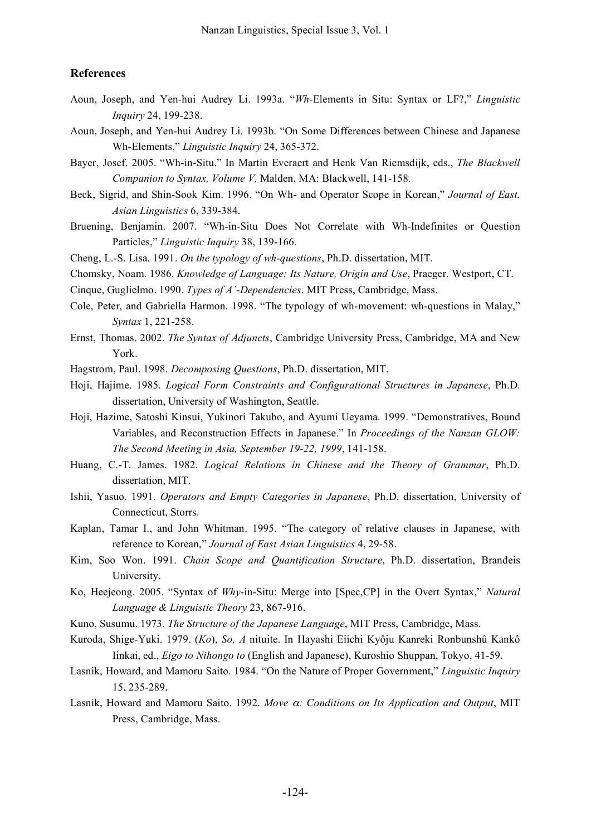#### **References**

- Aoun, Joseph, and Yen-hui Audrey Li. 1993a. "*Wh*-Elements in Situ: Syntax or LF?," *Linguistic Inquiry* 24, 199-238.
- Aoun, Joseph, and Yen-hui Audrey Li. 1993b. "On Some Differences between Chinese and Japanese Wh-Elements," *Linguistic Inquiry* 24, 365-372.
- Bayer, Josef. 2005. "Wh-in-Situ." In Martin Everaert and Henk Van Riemsdijk, eds., *The Blackwell Companion to Syntax, Volume V,* Malden, MA: Blackwell, 141-158.
- Beck, Sigrid, and Shin-Sook Kim. 1996. "On Wh- and Operator Scope in Korean," *Journal of East. Asian Linguistics* 6, 339-384.
- Bruening, Benjamin. 2007. "Wh-in-Situ Does Not Correlate with Wh-Indefinites or Question Particles," *Linguistic Inquiry* 38, 139-166.
- Cheng, L.-S. Lisa. 1991. *On the typology of wh-questions*, Ph.D. dissertation, MIT.
- Chomsky, Noam. 1986. *Knowledge of Language: Its Nature, Origin and Use*, Praeger. Westport, CT.

Cinque, Guglielmo. 1990. *Types of A´-Dependencies*. MIT Press, Cambridge, Mass.

- Cole, Peter, and Gabriella Harmon. 1998. "The typology of wh-movement: wh-questions in Malay," *Syntax* 1, 221-258.
- Ernst, Thomas. 2002. *The Syntax of Adjuncts*, Cambridge University Press, Cambridge, MA and New York.

Hagstrom, Paul. 1998. *Decomposing Questions*, Ph.D. dissertation, MIT.

- Hoji, Hajime. 1985. *Logical Form Constraints and Configurational Structures in Japanese*, Ph.D. dissertation, University of Washington, Seattle.
- Hoji, Hazime, Satoshi Kinsui, Yukinori Takubo, and Ayumi Ueyama. 1999. "Demonstratives, Bound Variables, and Reconstruction Effects in Japanese." In *Proceedings of the Nanzan GLOW: The Second Meeting in Asia, September 19-22, 1999*, 141-158.
- Huang, C.-T. James. 1982. *Logical Relations in Chinese and the Theory of Grammar*, Ph.D. dissertation, MIT.
- Ishii, Yasuo. 1991. *Operators and Empty Categories in Japanese*, Ph.D. dissertation, University of Connecticut, Storrs.
- Kaplan, Tamar I., and John Whitman. 1995. "The category of relative clauses in Japanese, with reference to Korean," *Journal of East Asian Linguistics* 4, 29-58.
- Kim, Soo Won. 1991. *Chain Scope and Quantification Structure*, Ph.D. dissertation, Brandeis University.
- Ko, Heejeong. 2005. "Syntax of *Why*-in-Situ: Merge into [Spec,CP] in the Overt Syntax," *Natural Language & Linguistic Theory* 23, 867-916.
- Kuno, Susumu. 1973. *The Structure of the Japanese Language*, MIT Press, Cambridge, Mass.
- Kuroda, Shige-Yuki. 1979. (*Ko*), *So, A* nituite. In Hayashi Eiichi Kyôju Kanreki Ronbunshû Kankô Iinkai, ed., *Eigo to Nihongo to* (English and Japanese), Kuroshio Shuppan, Tokyo, 41-59.
- Lasnik, Howard, and Mamoru Saito. 1984. "On the Nature of Proper Government," *Linguistic Inquiry* 15, 235-289.
- Lasnik, Howard and Mamoru Saito. 1992. *Move* α*: Conditions on Its Application and Output*, MIT Press, Cambridge, Mass.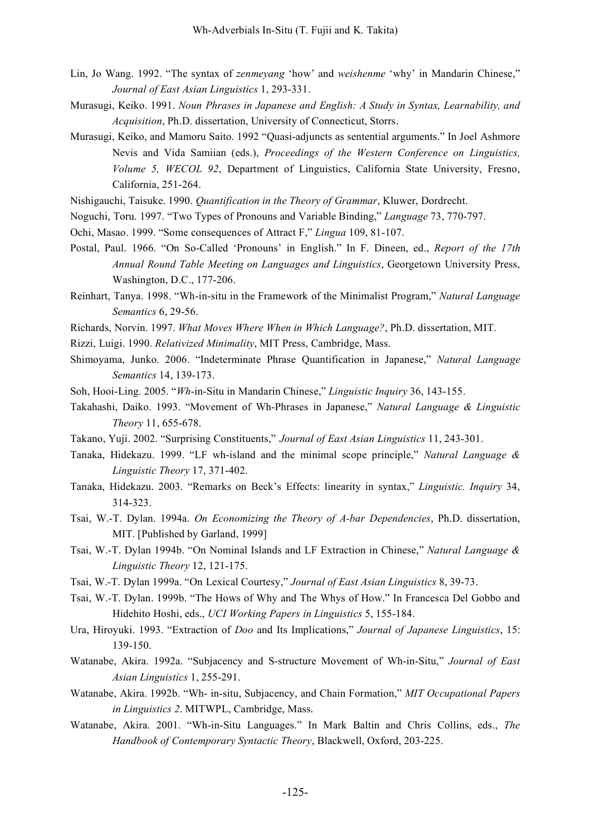- Lin, Jo Wang. 1992. "The syntax of *zenmeyang* 'how' and *weishenme* 'why' in Mandarin Chinese," *Journal of East Asian Linguistics* 1, 293-331.
- Murasugi, Keiko. 1991. *Noun Phrases in Japanese and English: A Study in Syntax, Learnability, and Acquisition*, Ph.D. dissertation, University of Connecticut, Storrs.
- Murasugi, Keiko, and Mamoru Saito. 1992 "Quasi-adjuncts as sentential arguments." In Joel Ashmore Nevis and Vida Samiian (eds.), *Proceedings of the Western Conference on Linguistics, Volume 5, WECOL 92*, Department of Linguistics, California State University, Fresno, California, 251-264.
- Nishigauchi, Taisuke. 1990. *Quantification in the Theory of Grammar*, Kluwer, Dordrecht.
- Noguchi, Toru. 1997. "Two Types of Pronouns and Variable Binding," *Language* 73, 770-797.
- Ochi, Masao. 1999. "Some consequences of Attract F," *Lingua* 109, 81-107.
- Postal, Paul. 1966. "On So-Called 'Pronouns' in English." In F. Dineen, ed., *Report of the 17th Annual Round Table Meeting on Languages and Linguistics*, Georgetown University Press, Washington, D.C., 177-206.
- Reinhart, Tanya. 1998. "Wh-in-situ in the Framework of the Minimalist Program," *Natural Language Semantics* 6, 29-56.
- Richards, Norvin. 1997. *What Moves Where When in Which Language?*, Ph.D. dissertation, MIT.
- Rizzi, Luigi. 1990. *Relativized Minimality*, MIT Press, Cambridge, Mass.
- Shimoyama, Junko. 2006. "Indeterminate Phrase Quantification in Japanese," *Natural Language Semantics* 14, 139-173.
- Soh, Hooi-Ling. 2005. "*Wh*-in-Situ in Mandarin Chinese," *Linguistic Inquiry* 36, 143-155.
- Takahashi, Daiko. 1993. "Movement of Wh-Phrases in Japanese," *Natural Language & Linguistic Theory* 11, 655-678.
- Takano, Yuji. 2002. "Surprising Constituents," *Journal of East Asian Linguistics* 11, 243-301.
- Tanaka, Hidekazu. 1999. "LF wh-island and the minimal scope principle," *Natural Language & Linguistic Theory* 17, 371-402.
- Tanaka, Hidekazu. 2003. "Remarks on Beck's Effects: linearity in syntax," *Linguistic. Inquiry* 34, 314-323.
- Tsai, W.-T. Dylan. 1994a. *On Economizing the Theory of A-bar Dependencies*, Ph.D. dissertation, MIT. [Published by Garland, 1999]
- Tsai, W.-T. Dylan 1994b. "On Nominal Islands and LF Extraction in Chinese," *Natural Language & Linguistic Theory* 12, 121-175.
- Tsai, W.-T. Dylan 1999a. "On Lexical Courtesy," *Journal of East Asian Linguistics* 8, 39-73.
- Tsai, W.-T. Dylan. 1999b. "The Hows of Why and The Whys of How." In Francesca Del Gobbo and Hidehito Hoshi, eds., *UCI Working Papers in Linguistics* 5, 155-184.
- Ura, Hiroyuki. 1993. "Extraction of *Doo* and Its Implications," *Journal of Japanese Linguistics*, 15: 139-150.
- Watanabe, Akira. 1992a. "Subjacency and S-structure Movement of Wh-in-Situ," *Journal of East Asian Linguistics* 1, 255-291.
- Watanabe, Akira. 1992b. "Wh- in-situ, Subjacency, and Chain Formation," *MIT Occupational Papers in Linguistics 2*. MITWPL, Cambridge, Mass.
- Watanabe, Akira. 2001. "Wh-in-Situ Languages." In Mark Baltin and Chris Collins, eds., *The Handbook of Contemporary Syntactic Theory*, Blackwell, Oxford, 203-225.